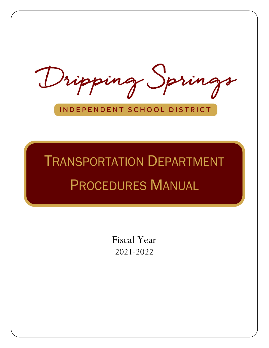Dripping Springs

### INDEPENDENT SCHOOL DISTRICT

# TRANSPORTATION DEPARTMENT PROCEDURES MANUAL

Fiscal Year 2021-2022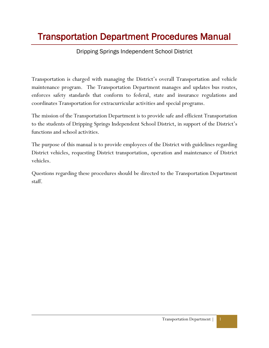## Transportation Department Procedures Manual

#### Dripping Springs Independent School District

Transportation is charged with managing the District's overall Transportation and vehicle maintenance program. The Transportation Department manages and updates bus routes, enforces safety standards that conform to federal, state and insurance regulations and coordinates Transportation for extracurricular activities and special programs.

The mission of the Transportation Department is to provide safe and efficient Transportation to the students of Dripping Springs Independent School District, in support of the District's functions and school activities.

The purpose of this manual is to provide employees of the District with guidelines regarding District vehicles, requesting District transportation, operation and maintenance of District vehicles.

Questions regarding these procedures should be directed to the Transportation Department staff.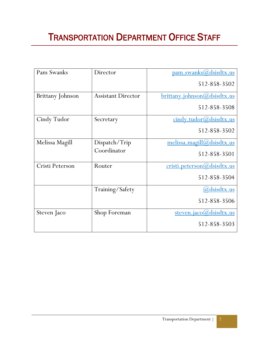## TRANSPORTATION DEPARTMENT OFFICE STAFF

| Pam Swanks       | Director                  | <u>pam.swanks@dsisdtx.us</u><br>512-858-3502 |
|------------------|---------------------------|----------------------------------------------|
| Brittany Johnson | <b>Assistant Director</b> | brittany.johnson@dsisdtx.us                  |
|                  |                           | 512-858-3508                                 |
| Cindy Tudor      | Secretary                 | cindy.tudor@dsisdtx.us                       |
|                  |                           | 512-858-3502                                 |
| Melissa Magill   | Dispatch/Trip             | melissa.magill@dsisdtx.us                    |
|                  | Coordinator               | 512-858-3501                                 |
| Cristi Peterson  | Router                    | cristi.peterson@dsisdtx.us                   |
|                  |                           | 512-858-3504                                 |
|                  | Training/Safety           | <u>(a)dsisdtx.us</u>                         |
|                  |                           | 512-858-3506                                 |
| Steven Jaco      | Shop Foreman              | <u>steven.jaco(a)dsisdtx.us</u>              |
|                  |                           | 512-858-3503                                 |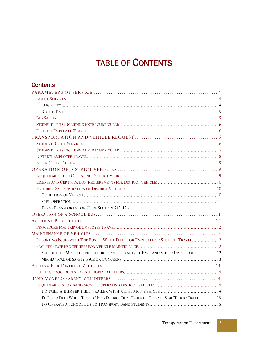## TABLE OF CONTENTS

#### **Contents**

| STUDENT TRIPS INCLUDING EXTRACURRICULAR                                                   |  |
|-------------------------------------------------------------------------------------------|--|
|                                                                                           |  |
|                                                                                           |  |
|                                                                                           |  |
|                                                                                           |  |
|                                                                                           |  |
|                                                                                           |  |
|                                                                                           |  |
|                                                                                           |  |
|                                                                                           |  |
|                                                                                           |  |
|                                                                                           |  |
|                                                                                           |  |
|                                                                                           |  |
| REPORTING ISSUES WITH TRIP BUS OR WHITE FLEET FOR EMPLOYEE OR STUDENT TRAVEL 12           |  |
|                                                                                           |  |
| SCHEDULED PM'S-THIS PROCEDURE APPLIES TO SERVICE PM'S AND SAFETY INSPECTIONS  12          |  |
|                                                                                           |  |
|                                                                                           |  |
|                                                                                           |  |
|                                                                                           |  |
|                                                                                           |  |
|                                                                                           |  |
| TO PULL A FIFTH WHEEL TRAILER USING DISTRICT DUAL TRUCK OR OPERATE SEMI/TRUCK/TRAILER  15 |  |
|                                                                                           |  |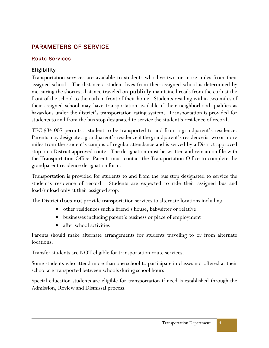#### <span id="page-4-0"></span>PARAMETERS OF SERVICE

#### <span id="page-4-1"></span>Route Services

#### <span id="page-4-2"></span>Eligibility

Transportation services are available to students who live two or more miles from their assigned school. The distance a student lives from their assigned school is determined by measuring the shortest distance traveled on **publicly** maintained roads from the curb at the front of the school to the curb in front of their home. Students residing within two miles of their assigned school may have transportation available if their neighborhood qualifies as hazardous under the district's transportation rating system. Transportation is provided for students to and from the bus stop designated to service the student's residence of record.

TEC §34.007 permits a student to be transported to and from a grandparent's residence. Parents may designate a grandparent's residence if the grandparent's residence is two or more miles from the student's campus of regular attendance and is served by a District approved stop on a District approved route. The designation must be written and remain on file with the Transportation Office. Parents must contact the Transportation Office to complete the grandparent residence designation form.

Transportation is provided for students to and from the bus stop designated to service the student's residence of record. Students are expected to ride their assigned bus and load/unload only at their assigned stop.

The District **does not** provide transportation services to alternate locations including:

- other residences such a friend's house, babysitter or relative
- businesses including parent's business or place of employment
- after school activities

Parents should make alternate arrangements for students traveling to or from alternate locations.

Transfer students are NOT eligible for transportation route services.

Some students who attend more than one school to participate in classes not offered at their school are transported between schools during school hours.

<span id="page-4-3"></span>Special education students are eligible for transportation if need is established through the Admission, Review and Dismissal process.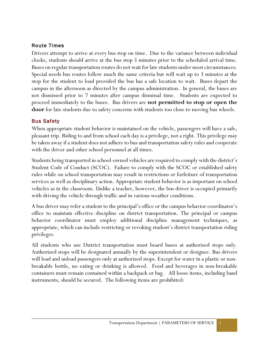#### Route Times

Drivers attempt to arrive at every bus stop on time. Due to the variance between individual clocks, students should arrive at the bus stop 5 minutes prior to the scheduled arrival time. Buses on regular transportation routes do not wait for late students under most circumstances. Special needs bus routes follow much the same criteria but will wait up to 3 minutes at the stop for the student to load provided the bus has a safe location to wait. Buses depart the campus in the afternoon as directed by the campus administration. In general, the buses are not dismissed prior to 7 minutes after campus dismissal time. Students are expected to proceed immediately to the buses. Bus drivers are **not permitted to stop or open the door** for late students due to safety concerns with students too close to moving bus wheels.

#### <span id="page-5-0"></span>Bus Safety

When appropriate student behavior is maintained on the vehicle, passengers will have a safe, pleasant trip. Riding to and from school each day is a privilege, not a right. This privilege may be taken away if a student does not adhere to bus and transportation safety rules and cooperate with the driver and other school personnel at all times.

Students being transported in school-owned vehicles are required to comply with the district's Student Code of Conduct (SCOC). Failure to comply with the SCOC or established safety rules while on school transportation may result in restrictions or forfeiture of transportation services as well as disciplinary action. Appropriate student behavior is as important on school vehicles as in the classroom. Unlike a teacher, however, the bus driver is occupied primarily with driving the vehicle through traffic and in various weather conditions.

A bus driver may refer a student to the principal's office or the campus behavior coordinator's office to maintain effective discipline on district transportation. The principal or campus behavior coordinator must employ additional discipline management techniques, as appropriate, which can include restricting or revoking student's district transportation riding privileges.

All students who use District transportation must board buses at authorized stops only. Authorized stops will be designated annually by the superintendent or designee. Bus drivers will load and unload passengers only at authorized stops. Except for water in a plastic or nonbreakable bottle, no eating or drinking is allowed. Food and beverages in non-breakable containers must remain contained within a backpack or bag. All loose items, including band instruments, should be secured. The following items are prohibited: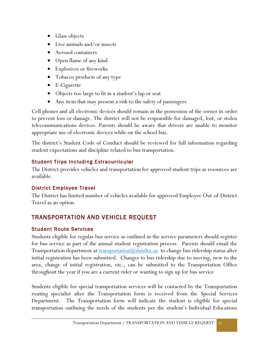- Glass objects
- Live animals and/or insects
- Aerosol containers
- Open flame of any kind
- Explosives or fireworks
- Tobacco products of any type
- E-Cigarette
- Objects too large to fit in a student's lap or seat
- Any item that may present a risk to the safety of passengers

Cell phones and all electronic devices should remain in the possession of the owner in order to prevent loss or damage. The district will not be responsible for damaged, lost, or stolen telecommunications devices. Parents should be aware that drivers are unable to monitor appropriate use of electronic devices while on the school bus.

The district's Student Code of Conduct should be reviewed for full information regarding student expectations and discipline related to bus transportation.

#### <span id="page-6-0"></span>Student Trips Including Extracurricular

The District provides vehicles and transportation for approved student trips as resources are available.

#### <span id="page-6-1"></span>District Employee Travel

The District has limited number of vehicles available for approved Employee Out-of-District Travel as an option.

#### <span id="page-6-2"></span>TRANSPORTATION AND VEHICLE REQUEST

#### <span id="page-6-3"></span>Student Route Services

Students eligible for regular bus service as outlined in the service parameters should register for bus service as part of the annual student registration process. Parents should email the Transportation department at  $\frac{transportion(\mathcal{Q}, \text{d} \text{sisd} \text{tx}, \text{us})}{\mathcal{Q}, \text{d} \text{sisd} \text{tx}, \text{us}}$  to change bus ridership status after initial registration has been submitted. Changes to bus ridership due to moving, new to the area, change of initial registration, etc., can be submitted to the Transportation Office throughout the year if you are a current rider or wanting to sign up for bus service

Students eligible for special transportation services will be contacted by the Transportation routing specialist after the Transportation form is received from the Special Services Department. The Transportation form will indicate the student is eligible for special transportation outlining the needs of the students per the student's Individual Educations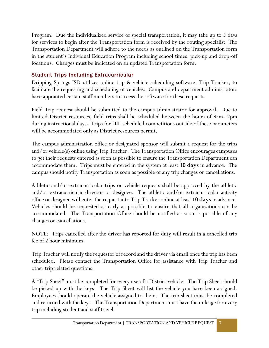Program. Due the individualized service of special transportation, it may take up to 5 days for services to begin after the Transportation form is received by the routing specialist. The Transportation Department will adhere to the needs as outlined on the Transportation form in the student's Individual Education Program including school times, pick-up and drop-off locations. Changes must be indicated on an updated Transportation form.

#### <span id="page-7-0"></span>Student Trips Including Extracurricular

Dripping Springs ISD utilizes online trip & vehicle scheduling software, Trip Tracker, to facilitate the requesting and scheduling of vehicles. Campus and department administrators have appointed certain staff members to access the software for these requests.

Field Trip request should be submitted to the campus administrator for approval. Due to limited District resources, <u>field trips shall be scheduled between the hours of 9am-2pm</u> during instructional days**.** Trips for UIL scheduled competitions outside of these parameters will be accommodated only as District resources permit.

The campus administration office or designated sponsor will submit a request for the trips and/or vehicle(s) online using Trip Tracker. The Transportation Office encourages campuses to get their requests entered as soon as possible to ensure the Transportation Department can accommodate them. Trips must be entered in the system at least **10 days** in advance. The campus should notify Transportation as soon as possible of any trip changes or cancellations.

Athletic and/or extracurricular trips or vehicle requests shall be approved by the athletic and/or extracurricular director or designee. The athletic and/or extracurricular activity office or designee will enter the request into Trip Tracker online at least **10 days** in advance. Vehicles should be requested as early as possible to ensure that all organizations can be accommodated. The Transportation Office should be notified as soon as possible of any changes or cancellations.

NOTE: Trips cancelled after the driver has reported for duty will result in a cancelled trip fee of 2 hour minimum.

Trip Tracker will notify the requestor of record and the driver via email once the trip has been scheduled. Please contact the Transportation Office for assistance with Trip Tracker and other trip related questions.

A "Trip Sheet" must be completed for every use of a District vehicle. The Trip Sheet should be picked up with the keys. The Trip Sheet will list the vehicle you have been assigned. Employees should operate the vehicle assigned to them. The trip sheet must be completed and returned with the keys. The Transportation Department must have the mileage for every trip including student and staff travel.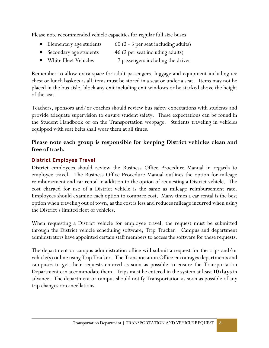Please note recommended vehicle capacities for regular full size buses:

- Elementary age students  $60 (2 3)$  per seat including adults)
- Secondary age students 46 (2 per seat including adults)
- White Fleet Vehicles 7 passengers including the driver

Remember to allow extra space for adult passengers, luggage and equipment including ice chest or lunch baskets as all items must be stored in a seat or under a seat. Items may not be placed in the bus aisle, block any exit including exit windows or be stacked above the height of the seat.

Teachers, sponsors and/or coaches should review bus safety expectations with students and provide adequate supervision to ensure student safety. These expectations can be found in the Student Handbook or on the Transportation webpage. Students traveling in vehicles equipped with seat belts shall wear them at all times.

#### **Please note each group is responsible for keeping District vehicles clean and free of trash.**

#### <span id="page-8-0"></span>District Employee Travel

District employees should review the Business Office Procedure Manual in regards to employee travel. The Business Office Procedure Manual outlines the option for mileage reimbursement and car rental in addition to the option of requesting a District vehicle. The cost charged for use of a District vehicle is the same as mileage reimbursement rate. Employees should examine each option to compare cost. Many times a car rental is the best option when traveling out of town, as the cost is less and reduces mileage incurred when using the District's limited fleet of vehicles.

When requesting a District vehicle for employee travel, the request must be submitted through the District vehicle scheduling software, Trip Tracker. Campus and department administrators have appointed certain staff members to access the software for these requests.

The department or campus administration office will submit a request for the trips and/or vehicle(s) online using Trip Tracker. The Transportation Office encourages departments and campuses to get their requests entered as soon as possible to ensure the Transportation Department can accommodate them. Trips must be entered in the system at least **10 days** in advance. The department or campus should notify Transportation as soon as possible of any trip changes or cancellations.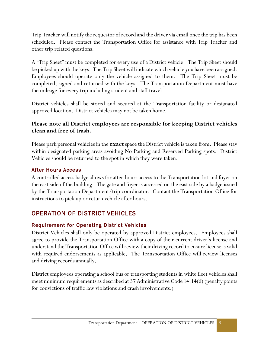Trip Tracker will notify the requestor of record and the driver via email once the trip has been scheduled. Please contact the Transportation Office for assistance with Trip Tracker and other trip related questions.

A "Trip Sheet" must be completed for every use of a District vehicle. The Trip Sheet should be picked up with the keys. The Trip Sheet will indicate which vehicle you have been assigned. Employees should operate only the vehicle assigned to them. The Trip Sheet must be completed, signed and returned with the keys. The Transportation Department must have the mileage for every trip including student and staff travel.

District vehicles shall be stored and secured at the Transportation facility or designated approved location. District vehicles may not be taken home.

#### **Please note all District employees are responsible for keeping District vehicles clean and free of trash.**

Please park personal vehicles in the **exact** space the District vehicle is taken from. Please stay within designated parking areas avoiding No Parking and Reserved Parking spots. District Vehicles should be returned to the spot in which they were taken.

#### <span id="page-9-0"></span>After Hours Access

A controlled access badge allows for after-hours access to the Transportation lot and foyer on the east side of the building. The gate and foyer is accessed on the east side by a badge issued by the Transportation Department/trip coordinator. Contact the Transportation Office for instructions to pick up or return vehicle after hours.

#### <span id="page-9-1"></span>OPERATION OF DISTRICT VEHICLES

#### <span id="page-9-2"></span>Requirement for Operating District Vehicles

District Vehicles shall only be operated by approved District employees. Employees shall agree to provide the Transportation Office with a copy of their current driver's license and understand the Transportation Office will review their driving record to ensure license is valid with required endorsements as applicable. The Transportation Office will review licenses and driving records annually.

<span id="page-9-3"></span>District employees operating a school bus or transporting students in white fleet vehicles shall meet minimum requirements as described at 37 Administrative Code 14.14(d) (penalty points for convictions of traffic law violations and crash involvements.)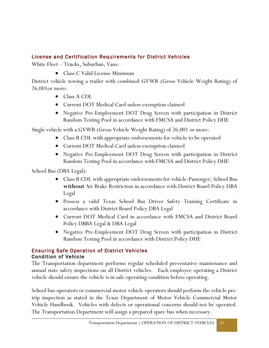#### License and Certification Requirements for District Vehicles

White Fleet – Trucks, Suburban, Vans:

• Class C Valid License Minimum

District vehicle towing a trailer with combined GVWR (Gross Vehicle Weight Rating) of 26,001or more:

- Class A CDL
- Current DOT Medical Card unless exemption claimed
- Negative Pre-Employment DOT Drug Screen with participation in District Random Testing Pool in accordance with FMCSA and District Policy DHE

Single vehicle with a GVWR (Gross Vehicle Weight Rating) of 26,001 or more:

- Class B CDL with appropriate endorsements for vehicle to be operated
- Current DOT Medical Card unless exemption claimed
- Negative Pre-Employment DOT Drug Screen with participation in District Random Testing Pool in accordance with FMCSA and District Policy DHE

School Bus (DBA Legal):

- Class B CDL with appropriate endorsements for vehicle-Passenger, School Bus **without** Air Brake Restriction in accordance with District Board Policy DBA Legal
- Possess a valid Texas School Bus Driver Safety Training Certificate in accordance with District Board Policy DBA Legal
- Current DOT Medical Card in accordance with FMCSA and District Board Policy DBBA Legal & DBA Legal
- Negative Pre-Employment DOT Drug Screen with participation in District Random Testing Pool in accordance with District Policy DHE

#### <span id="page-10-0"></span>Ensuring Safe Operation of District Vehicles Condition of Vehicle

<span id="page-10-1"></span>The Transportation department performs regular scheduled preventative maintenance and annual state safety inspections on all District vehicles. Each employee operating a District vehicle should ensure the vehicle is in safe operating condition before operating.

School bus operators or commercial motor vehicle operators should perform the vehicle pretrip inspection as stated in the Texas Department of Motor Vehicle Commercial Motor Vehicle Handbook. Vehicles with defects or operational concerns should not be operated. The Transportation Department will assign a prepared spare bus when necessary.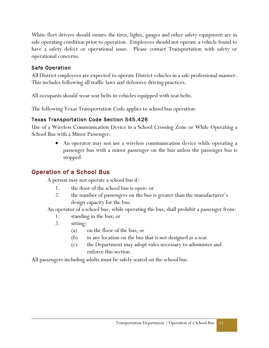White fleet drivers should ensure the tires, lights, gauges and other safety equipment are in safe operating condition prior to operation. Employees should not operate a vehicle found to have a safety defect or operational issue. Please contact Transportation with safety or operational concerns.

#### <span id="page-11-0"></span>Safe Operation

All District employees are expected to operate District vehicles in a safe professional manner. This includes following all traffic laws and defensive driving practices.

All occupants should wear seat belts in vehicles equipped with seat belts.

The following Texas Transportation Code applies to school bus operation:

#### <span id="page-11-1"></span>Texas Transportation Code Section 545.426

Use of a Wireless Communication Device in a School Crossing Zone or While Operating a School Bus with a Minor Passenger:

> • An operator may not use a wireless communication device while operating a passenger bus with a minor passenger on the bus unless the passenger bus is stopped.

#### <span id="page-11-2"></span>Operation of a School Bus

A person may not operate a school bus if:

- 1. the door of the school bus is open: or
- 2. the number of passengers on the bus is greater than the manufacturer's design capacity for the bus.

An operator of a school bus, while operating the bus, shall prohibit a passenger from:

- 1. standing in the bus; or
- 2. sitting:
	- (a) on the floor of the bus; or
	- (b) in any location on the bus that is not designed as a seat
	- (c) the Department may adopt rules necessary to administer and enforce this section.

<span id="page-11-3"></span>All passengers including adults must be safely seated on the school bus.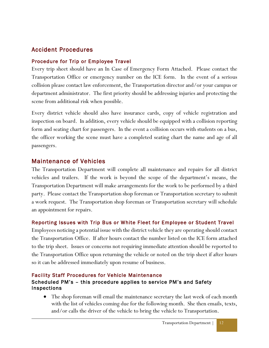#### Accident Procedures

#### <span id="page-12-0"></span>Procedure for Trip or Employee Travel

Every trip sheet should have an In Case of Emergency Form Attached. Please contact the Transportation Office or emergency number on the ICE form. In the event of a serious collision please contact law enforcement, the Transportation director and/or your campus or department administrator. The first priority should be addressing injuries and protecting the scene from additional risk when possible.

Every district vehicle should also have insurance cards, copy of vehicle registration and inspection on board. In addition, every vehicle should be equipped with a collision reporting form and seating chart for passengers. In the event a collision occurs with students on a bus, the officer working the scene must have a completed seating chart the name and age of all passengers.

#### <span id="page-12-1"></span>Maintenance of Vehicles

The Transportation Department will complete all maintenance and repairs for all district vehicles and trailers. If the work is beyond the scope of the department's means, the Transportation Department will make arrangements for the work to be performed by a third party. Please contact the Transportation shop foreman or Transportation secretary to submit a work request. The Transportation shop foreman or Transportation secretary will schedule an appointment for repairs.

#### <span id="page-12-2"></span>Reporting Issues with Trip Bus or White Fleet for Employee or Student Travel

Employees noticing a potential issue with the district vehicle they are operating should contact the Transportation Office. If after hours contact the number listed on the ICE form attached to the trip sheet. Issues or concerns not requiring immediate attention should be reported to the Transportation Office upon returning the vehicle or noted on the trip sheet if after hours so it can be addressed immediately upon resume of business.

#### <span id="page-12-3"></span>Facility Staff Procedures for Vehicle Maintenance

#### <span id="page-12-4"></span>Scheduled PM's – this procedure applies to service PM's and Safety Inspections

• The shop foreman will email the maintenance secretary the last week of each month with the list of vehicles coming due for the following month. She then emails, texts, and/or calls the driver of the vehicle to bring the vehicle to Transportation.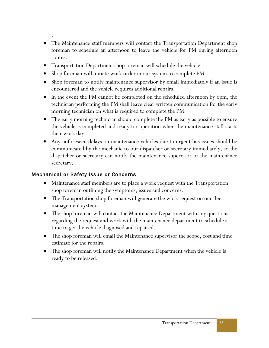.

- The Maintenance staff members will contact the Transportation Department shop foreman to schedule an afternoon to leave the vehicle for PM during afternoon routes.
- Transportation Department shop foreman will schedule the vehicle.
- Shop foreman will initiate work order in our system to complete PM.
- Shop foreman to notify maintenance supervisor by email immediately if an issue is encountered and the vehicle requires additional repairs.
- In the event the PM cannot be completed on the scheduled afternoon by 6pm, the technician performing the PM shall leave clear written communication for the early morning technician on what is required to complete the PM.
- The early morning technician should complete the PM as early as possible to ensure the vehicle is completed and ready for operation when the maintenance staff starts their work day.
- Any unforeseen delays on maintenance vehicles due to urgent bus issues should be communicated by the mechanic to our dispatcher or secretary immediately, so the dispatcher or secretary can notify the maintenance supervisor or the maintenance secretary.

#### <span id="page-13-0"></span>Mechanical or Safety Issue or Concerns

- Maintenance staff members are to place a work request with the Transportation shop foreman outlining the symptoms, issues and concerns.
- The Transportation shop foreman will generate the work request on our fleet management system.
- The shop foreman will contact the Maintenance Department with any questions regarding the request and work with the maintenance department to schedule a time to get the vehicle diagnosed and repaired.
- The shop foreman will email the Maintenance supervisor the scope, cost and time estimate for the repairs.
- <span id="page-13-1"></span>• The shop foreman will notify the Maintenance Department when the vehicle is ready to be released.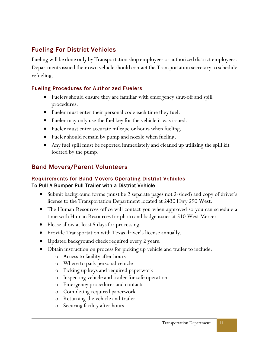#### Fueling For District Vehicles

Fueling will be done only by Transportation shop employees or authorized district employees. Departments issued their own vehicle should contact the Transportation secretary to schedule refueling.

#### Fueling Procedures for Authorized Fuelers

- <span id="page-14-0"></span>• Fuelers should ensure they are familiar with emergency shut-off and spill procedures.
- Fueler must enter their personal code each time they fuel.
- Fueler may only use the fuel key for the vehicle it was issued.
- Fueler must enter accurate mileage or hours when fueling.
- Fueler should remain by pump and nozzle when fueling.
- Any fuel spill must be reported immediately and cleaned up utilizing the spill kit located by the pump.

#### <span id="page-14-1"></span>Band Movers/Parent Volunteers

#### <span id="page-14-3"></span><span id="page-14-2"></span>Requirements for Band Movers Operating District Vehicles To Pull A Bumper Pull Trailer with a District Vehicle

- Submit background forms (must be 2 separate pages not 2-sided) and copy of driver's license to the Transportation Department located at 2430 Hwy 290 West.
- The Human Resources office will contact you when approved so you can schedule a time with Human Resources for photo and badge issues at 510 West Mercer.
- Please allow at least 5 days for processing.
- Provide Transportation with Texas driver's license annually.
- Updated background check required every 2 years.
- <span id="page-14-4"></span>• Obtain instruction on process for picking up vehicle and trailer to include:
	- o Access to facility after hours
	- o Where to park personal vehicle
	- o Picking up keys and required paperwork
	- o Inspecting vehicle and trailer for safe operation
	- o Emergency procedures and contacts
	- o Completing required paperwork
	- o Returning the vehicle and trailer
	- o Securing facility after hours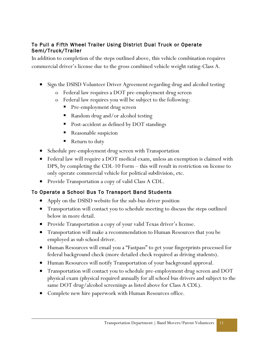#### To Pull a Fifth Wheel Trailer Using District Dual Truck or Operate Semi/Truck/Trailer

In addition to completion of the steps outlined above, this vehicle combination requires commercial driver's license due to the gross combined vehicle weight rating-Class A.

- Sign the DSISD Volunteer Driver Agreement regarding drug and alcohol testing
	- o Federal law requires a DOT pre-employment drug screen
	- o Federal law requires you will be subject to the following:
		- Pre-employment drug screen
		- Random drug and/or alcohol testing
		- Post-accident as defined by DOT standings
		- Reasonable suspicion
		- Return to duty
- Schedule pre-employment drug screen with Transportation
- Federal law will require a DOT medical exam, unless an exemption is claimed with DPS, by completing the CDL-10 Form – this will result in restriction on license to only operate commercial vehicle for political subdivision, etc.
- Provide Transportation a copy of valid Class A CDL.

#### <span id="page-15-0"></span>To Operate a School Bus To Transport Band Students

- Apply on the DSISD website for the sub-bus driver position
- Transportation will contact you to schedule meeting to discuss the steps outlined below in more detail.
- Provide Transportation a copy of your valid Texas driver's license.
- Transportation will make a recommendation to Human Resources that you be employed as sub school driver.
- Human Resources will email you a "Fastpass" to get your fingerprints processed for federal background check (more detailed check required as driving students).
- Human Resources will notify Transportation of your background approval.
- Transportation will contact you to schedule pre-employment drug screen and DOT physical exam (physical required annually for all school bus drivers and subject to the same DOT drug/alcohol screenings as listed above for Class A CDL).
- Complete new hire paperwork with Human Resources office.